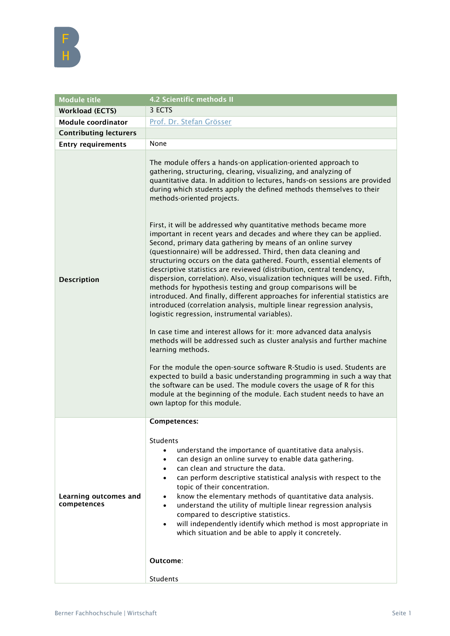

| <b>Module title</b>                  | 4.2 Scientific methods II                                                                                                                                                                                                                                                                                                                                                                                                                                                                                                                                                                                                                                                                                                                                                                                                                                                                                                                                                                                                                                                                                                                                                                                                                                                                                                                                                                                                                                                                                                                                                                                                 |
|--------------------------------------|---------------------------------------------------------------------------------------------------------------------------------------------------------------------------------------------------------------------------------------------------------------------------------------------------------------------------------------------------------------------------------------------------------------------------------------------------------------------------------------------------------------------------------------------------------------------------------------------------------------------------------------------------------------------------------------------------------------------------------------------------------------------------------------------------------------------------------------------------------------------------------------------------------------------------------------------------------------------------------------------------------------------------------------------------------------------------------------------------------------------------------------------------------------------------------------------------------------------------------------------------------------------------------------------------------------------------------------------------------------------------------------------------------------------------------------------------------------------------------------------------------------------------------------------------------------------------------------------------------------------------|
| <b>Workload (ECTS)</b>               | 3 ECTS                                                                                                                                                                                                                                                                                                                                                                                                                                                                                                                                                                                                                                                                                                                                                                                                                                                                                                                                                                                                                                                                                                                                                                                                                                                                                                                                                                                                                                                                                                                                                                                                                    |
| <b>Module coordinator</b>            | Prof. Dr. Stefan Grösser                                                                                                                                                                                                                                                                                                                                                                                                                                                                                                                                                                                                                                                                                                                                                                                                                                                                                                                                                                                                                                                                                                                                                                                                                                                                                                                                                                                                                                                                                                                                                                                                  |
| <b>Contributing lecturers</b>        |                                                                                                                                                                                                                                                                                                                                                                                                                                                                                                                                                                                                                                                                                                                                                                                                                                                                                                                                                                                                                                                                                                                                                                                                                                                                                                                                                                                                                                                                                                                                                                                                                           |
| <b>Entry requirements</b>            | None                                                                                                                                                                                                                                                                                                                                                                                                                                                                                                                                                                                                                                                                                                                                                                                                                                                                                                                                                                                                                                                                                                                                                                                                                                                                                                                                                                                                                                                                                                                                                                                                                      |
| <b>Description</b>                   | The module offers a hands-on application-oriented approach to<br>gathering, structuring, clearing, visualizing, and analyzing of<br>quantitative data. In addition to lectures, hands-on sessions are provided<br>during which students apply the defined methods themselves to their<br>methods-oriented projects.<br>First, it will be addressed why quantitative methods became more<br>important in recent years and decades and where they can be applied.<br>Second, primary data gathering by means of an online survey<br>(questionnaire) will be addressed. Third, then data cleaning and<br>structuring occurs on the data gathered. Fourth, essential elements of<br>descriptive statistics are reviewed (distribution, central tendency,<br>dispersion, correlation). Also, visualization techniques will be used. Fifth,<br>methods for hypothesis testing and group comparisons will be<br>introduced. And finally, different approaches for inferential statistics are<br>introduced (correlation analysis, multiple linear regression analysis,<br>logistic regression, instrumental variables).<br>In case time and interest allows for it: more advanced data analysis<br>methods will be addressed such as cluster analysis and further machine<br>learning methods.<br>For the module the open-source software R-Studio is used. Students are<br>expected to build a basic understanding programming in such a way that<br>the software can be used. The module covers the usage of R for this<br>module at the beginning of the module. Each student needs to have an<br>own laptop for this module. |
| Learning outcomes and<br>competences | Competences:<br>Students<br>understand the importance of quantitative data analysis.<br>can design an online survey to enable data gathering.<br>$\bullet$<br>can clean and structure the data.<br>$\bullet$<br>can perform descriptive statistical analysis with respect to the<br>$\bullet$<br>topic of their concentration.<br>know the elementary methods of quantitative data analysis.<br>$\bullet$<br>understand the utility of multiple linear regression analysis<br>$\bullet$<br>compared to descriptive statistics.<br>will independently identify which method is most appropriate in<br>which situation and be able to apply it concretely.<br>Outcome:                                                                                                                                                                                                                                                                                                                                                                                                                                                                                                                                                                                                                                                                                                                                                                                                                                                                                                                                                      |
|                                      | Students                                                                                                                                                                                                                                                                                                                                                                                                                                                                                                                                                                                                                                                                                                                                                                                                                                                                                                                                                                                                                                                                                                                                                                                                                                                                                                                                                                                                                                                                                                                                                                                                                  |